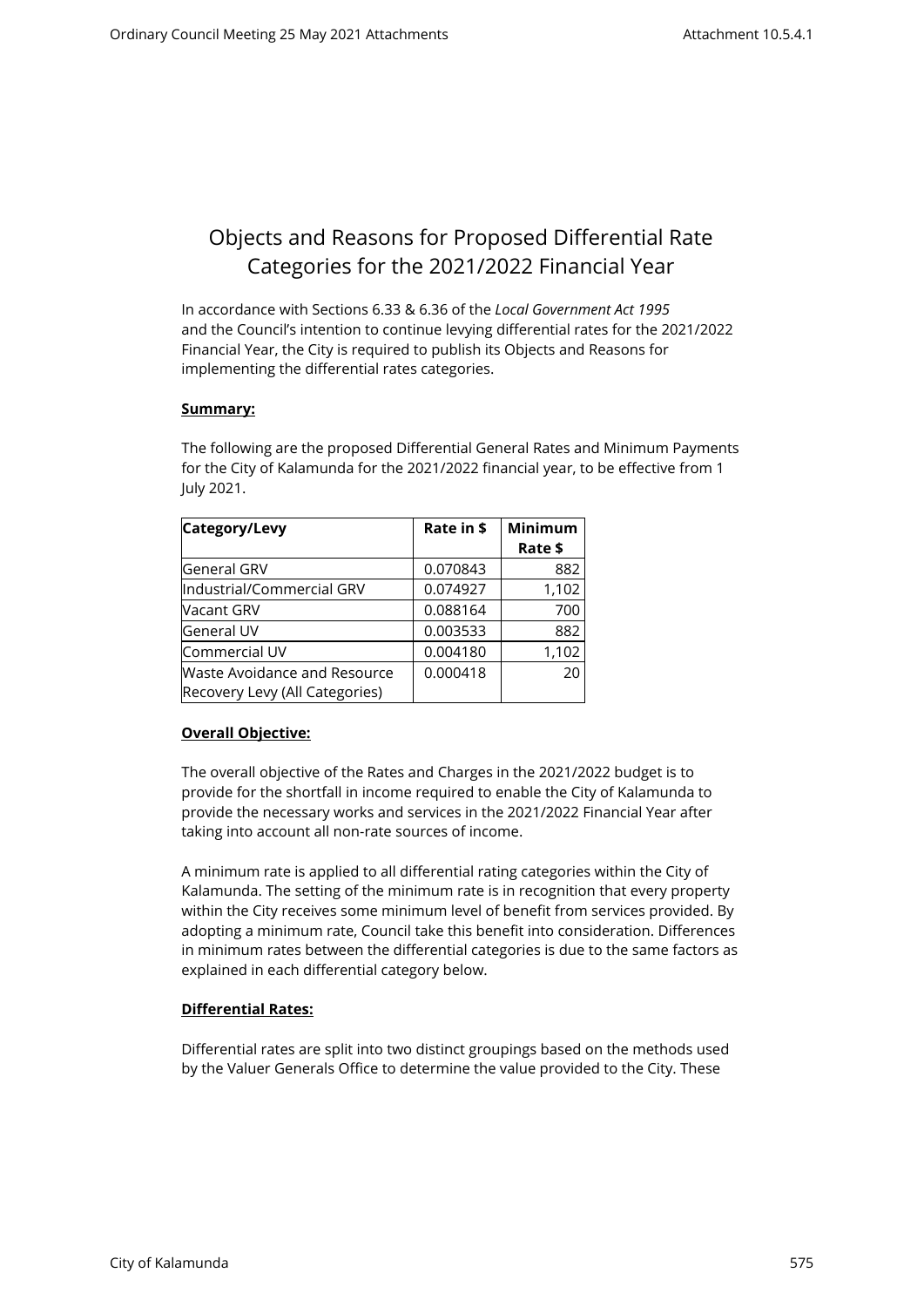# Objects and Reasons for Proposed Differential Rate Categories for the 2021/2022 Financial Year

In accordance with Sections 6.33 & 6.36 of the *Local Government Act 1995* and the Council's intention to continue levying differential rates for the 2021/2022 Financial Year, the City is required to publish its Objects and Reasons for implementing the differential rates categories.

# **Summary:**

The following are the proposed Differential General Rates and Minimum Payments for the City of Kalamunda for the 2021/2022 financial year, to be effective from 1 July 2021.

| Category/Levy                       | Rate in \$ | <b>Minimum</b> |
|-------------------------------------|------------|----------------|
|                                     |            | Rate \$        |
| <b>General GRV</b>                  | 0.070843   | 882            |
| Industrial/Commercial GRV           | 0.074927   | 1,102          |
| Nacant GRV                          | 0.088164   | 700            |
| <b>General UV</b>                   | 0.003533   | 882            |
| Commercial UV                       | 0.004180   | 1,102          |
| <b>Waste Avoidance and Resource</b> | 0.000418   | 20             |
| Recovery Levy (All Categories)      |            |                |

# **Overall Objective:**

The overall objective of the Rates and Charges in the 2021/2022 budget is to provide for the shortfall in income required to enable the City of Kalamunda to provide the necessary works and services in the 2021/2022 Financial Year after taking into account all non-rate sources of income.

A minimum rate is applied to all differential rating categories within the City of Kalamunda. The setting of the minimum rate is in recognition that every property within the City receives some minimum level of benefit from services provided. By adopting a minimum rate, Council take this benefit into consideration. Differences in minimum rates between the differential categories is due to the same factors as explained in each differential category below.

# **Differential Rates:**

Differential rates are split into two distinct groupings based on the methods used by the Valuer Generals Office to determine the value provided to the City. These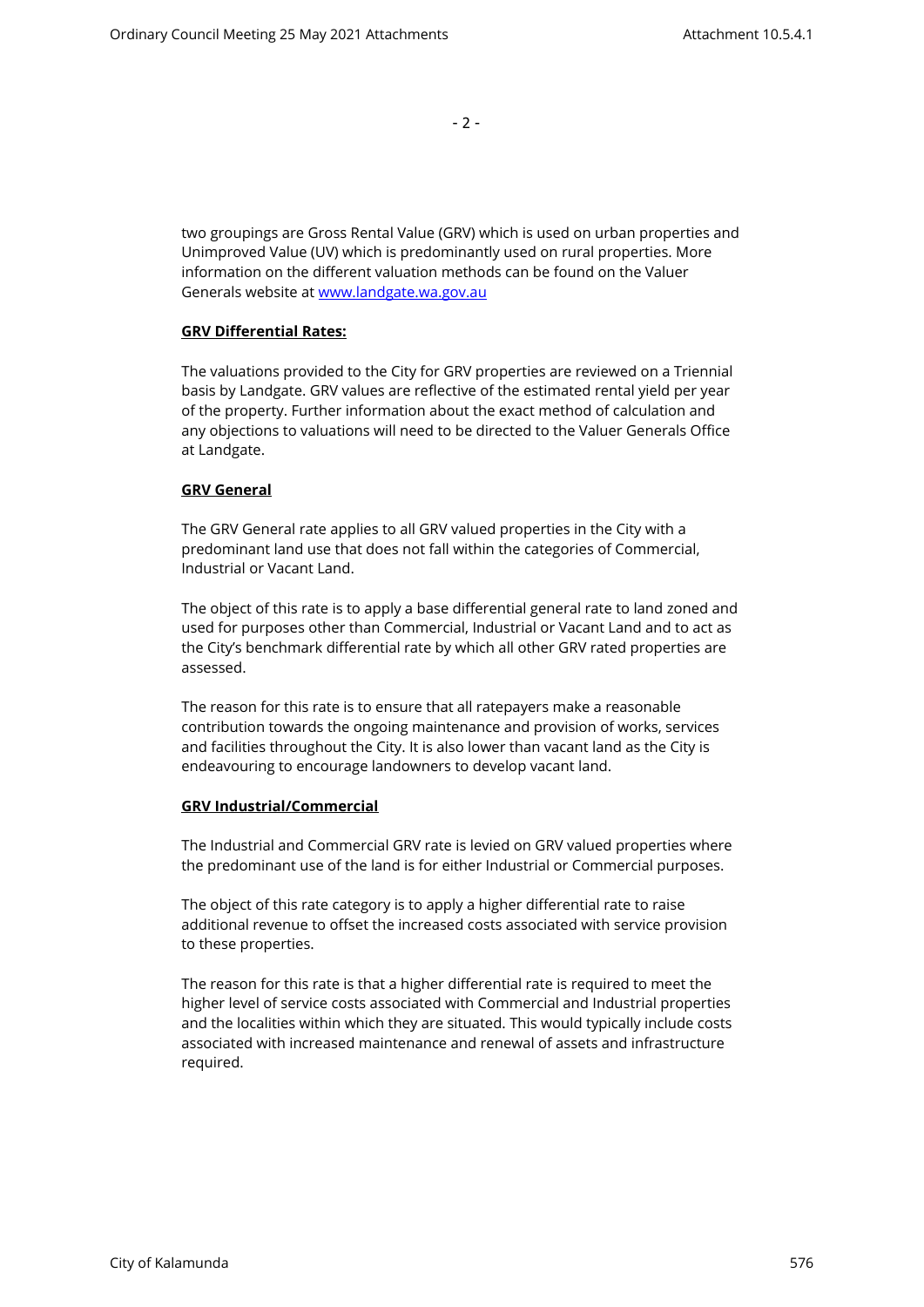- 2 -

two groupings are Gross Rental Value (GRV) which is used on urban properties and Unimproved Value (UV) which is predominantly used on rural properties. More information on the different valuation methods can be found on the Valuer Generals website at [www.landgate.wa.gov.au](http://www.landgate.wa.gov.au/)

## **GRV Differential Rates:**

The valuations provided to the City for GRV properties are reviewed on a Triennial basis by Landgate. GRV values are reflective of the estimated rental yield per year of the property. Further information about the exact method of calculation and any objections to valuations will need to be directed to the Valuer Generals Office at Landgate.

## **GRV General**

The GRV General rate applies to all GRV valued properties in the City with a predominant land use that does not fall within the categories of Commercial, Industrial or Vacant Land.

The object of this rate is to apply a base differential general rate to land zoned and used for purposes other than Commercial, Industrial or Vacant Land and to act as the City's benchmark differential rate by which all other GRV rated properties are assessed.

The reason for this rate is to ensure that all ratepayers make a reasonable contribution towards the ongoing maintenance and provision of works, services and facilities throughout the City. It is also lower than vacant land as the City is endeavouring to encourage landowners to develop vacant land.

#### **GRV Industrial/Commercial**

The Industrial and Commercial GRV rate is levied on GRV valued properties where the predominant use of the land is for either Industrial or Commercial purposes.

The object of this rate category is to apply a higher differential rate to raise additional revenue to offset the increased costs associated with service provision to these properties.

The reason for this rate is that a higher differential rate is required to meet the higher level of service costs associated with Commercial and Industrial properties and the localities within which they are situated. This would typically include costs associated with increased maintenance and renewal of assets and infrastructure required.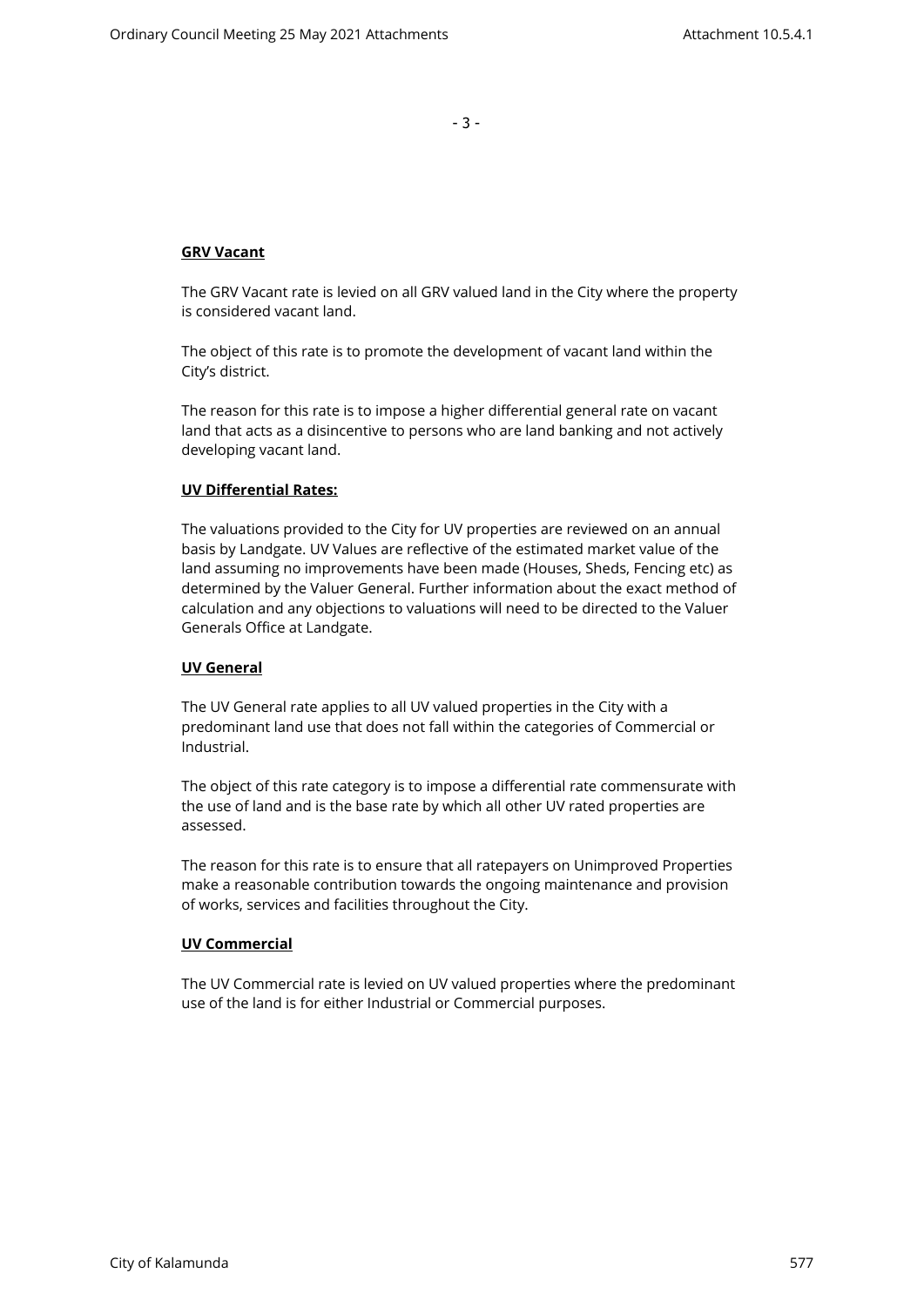- 3 -

# **GRV Vacant**

The GRV Vacant rate is levied on all GRV valued land in the City where the property is considered vacant land.

The object of this rate is to promote the development of vacant land within the City's district.

The reason for this rate is to impose a higher differential general rate on vacant land that acts as a disincentive to persons who are land banking and not actively developing vacant land.

## **UV Differential Rates:**

The valuations provided to the City for UV properties are reviewed on an annual basis by Landgate. UV Values are reflective of the estimated market value of the land assuming no improvements have been made (Houses, Sheds, Fencing etc) as determined by the Valuer General. Further information about the exact method of calculation and any objections to valuations will need to be directed to the Valuer Generals Office at Landgate.

#### **UV General**

The UV General rate applies to all UV valued properties in the City with a predominant land use that does not fall within the categories of Commercial or Industrial.

The object of this rate category is to impose a differential rate commensurate with the use of land and is the base rate by which all other UV rated properties are assessed.

The reason for this rate is to ensure that all ratepayers on Unimproved Properties make a reasonable contribution towards the ongoing maintenance and provision of works, services and facilities throughout the City.

### **UV Commercial**

The UV Commercial rate is levied on UV valued properties where the predominant use of the land is for either Industrial or Commercial purposes.